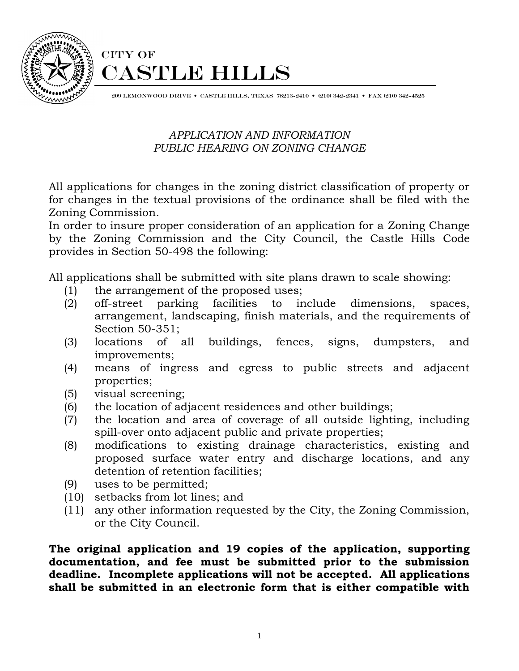

# CITY OF CASTLE HILLS

209 LEMONWOOD DRIVE • CASTLE HILLS, TEXAS 78213-2410 • (210) 342-2341 • FAX (210) 342-4525

## *APPLICATION AND INFORMATION PUBLIC HEARING ON ZONING CHANGE*

All applications for changes in the zoning district classification of property or for changes in the textual provisions of the ordinance shall be filed with the Zoning Commission.

In order to insure proper consideration of an application for a Zoning Change by the Zoning Commission and the City Council, the Castle Hills Code provides in Section 50-498 the following:

All applications shall be submitted with site plans drawn to scale showing:

- (1) the arrangement of the proposed uses;
- (2) off-street parking facilities to include dimensions, spaces, arrangement, landscaping, finish materials, and the requirements of Section 50-351;
- (3) locations of all buildings, fences, signs, dumpsters, and improvements;
- (4) means of ingress and egress to public streets and adjacent properties;
- (5) visual screening;
- (6) the location of adjacent residences and other buildings;
- (7) the location and area of coverage of all outside lighting, including spill-over onto adjacent public and private properties;
- (8) modifications to existing drainage characteristics, existing and proposed surface water entry and discharge locations, and any detention of retention facilities;
- (9) uses to be permitted;
- (10) setbacks from lot lines; and
- (11) any other information requested by the City, the Zoning Commission, or the City Council.

**The original application and 19 copies of the application, supporting documentation, and fee must be submitted prior to the submission deadline. Incomplete applications will not be accepted. All applications shall be submitted in an electronic form that is either compatible with**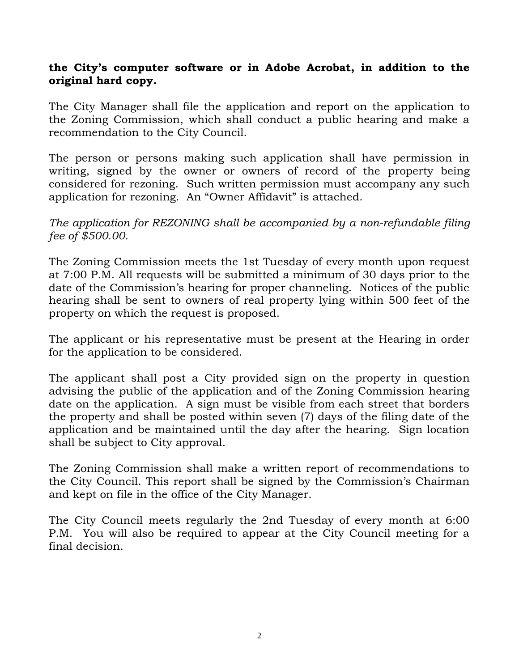### **the City's computer software or in Adobe Acrobat, in addition to the original hard copy.**

The City Manager shall file the application and report on the application to the Zoning Commission, which shall conduct a public hearing and make a recommendation to the City Council.

The person or persons making such application shall have permission in writing, signed by the owner or owners of record of the property being considered for rezoning. Such written permission must accompany any such application for rezoning. An "Owner Affidavit" is attached.

### *The application for REZONING shall be accompanied by a non-refundable filing fee of \$500.00.*

The Zoning Commission meets the 1st Tuesday of every month upon request at 7:00 P.M. All requests will be submitted a minimum of 30 days prior to the date of the Commission's hearing for proper channeling. Notices of the public hearing shall be sent to owners of real property lying within 500 feet of the property on which the request is proposed.

The applicant or his representative must be present at the Hearing in order for the application to be considered.

The applicant shall post a City provided sign on the property in question advising the public of the application and of the Zoning Commission hearing date on the application. A sign must be visible from each street that borders the property and shall be posted within seven (7) days of the filing date of the application and be maintained until the day after the hearing. Sign location shall be subject to City approval.

The Zoning Commission shall make a written report of recommendations to the City Council. This report shall be signed by the Commission's Chairman and kept on file in the office of the City Manager.

The City Council meets regularly the 2nd Tuesday of every month at 6:00 P.M. You will also be required to appear at the City Council meeting for a final decision.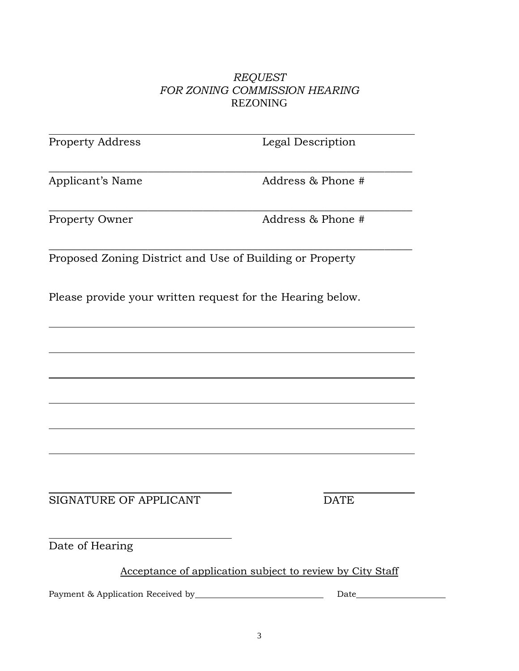#### *REQUEST FOR ZONING COMMISSION HEARING* REZONING

| <b>Property Address</b>                                    | Legal Description                                         |
|------------------------------------------------------------|-----------------------------------------------------------|
| Applicant's Name                                           | Address & Phone #                                         |
| Property Owner                                             | Address & Phone #                                         |
| Proposed Zoning District and Use of Building or Property   |                                                           |
| Please provide your written request for the Hearing below. |                                                           |
|                                                            |                                                           |
|                                                            |                                                           |
|                                                            |                                                           |
|                                                            |                                                           |
|                                                            |                                                           |
| <b>SIGNATURE OF APPLICANT</b>                              | <b>DATE</b>                                               |
| Date of Hearing                                            |                                                           |
|                                                            | Acceptance of application subject to review by City Staff |
|                                                            | Date                                                      |